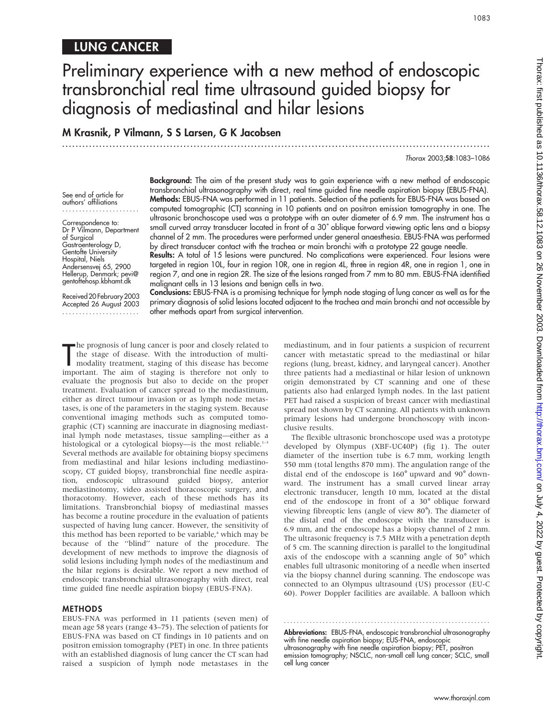## LUNG CANCER

# Preliminary experience with a new method of endoscopic transbronchial real time ultrasound guided biopsy for diagnosis of mediastinal and hilar lesions

.............................................................................................................................. .

M Krasnik, P Vilmann, S S Larsen, G K Jacobsen

Thorax 2003;58:1083–1086

See end of article for authors' affiliations .......................

Correspondence to: Dr P Vilmann, Department of Surgical Gastroenterology D, Gentofte University Hospital, Niels Andersensvej 65, 2900 Hellerup, Denmark; pevi@ gentoftehosp.kbhamt.dk

Received20February2003 Accepted 26 August 2003 .......................

Background: The aim of the present study was to gain experience with a new method of endoscopic transbronchial ultrasonography with direct, real time guided fine needle aspiration biopsy (EBUS-FNA). Methods: EBUS-FNA was performed in 11 patients. Selection of the patients for EBUS-FNA was based on computed tomographic (CT) scanning in 10 patients and on positron emission tomography in one. The ultrasonic bronchoscope used was a prototype with an outer diameter of 6.9 mm. The instrument has a small curved array transducer located in front of a 30˚ oblique forward viewing optic lens and a biopsy channel of 2 mm. The procedures were performed under general anaesthesia. EBUS-FNA was performed by direct transducer contact with the trachea or main bronchi with a prototype 22 gauge needle.

Results: A total of 15 lesions were punctured. No complications were experienced. Four lesions were targeted in region 10L, four in region 10R, one in region 4L, three in region 4R, one in region 1, one in region 7, and one in region 2R. The size of the lesions ranged from 7 mm to 80 mm. EBUS-FNA identified malignant cells in 13 lesions and benign cells in two.

Conclusions: EBUS-FNA is a promising technique for lymph node staging of lung cancer as well as for the primary diagnosis of solid lesions located adjacent to the trachea and main bronchi and not accessible by other methods apart from surgical intervention.

The prognosis of lung cancer is poor and closely related to<br>the stage of disease. With the introduction of multi-<br>modality treatment, staging of this disease has become<br>important. The aim of staging is therefore not only t he prognosis of lung cancer is poor and closely related to the stage of disease. With the introduction of multimodality treatment, staging of this disease has become evaluate the prognosis but also to decide on the proper treatment. Evaluation of cancer spread to the mediastinum, either as direct tumour invasion or as lymph node metastases, is one of the parameters in the staging system. Because conventional imaging methods such as computed tomographic (CT) scanning are inaccurate in diagnosing mediastinal lymph node metastases, tissue sampling—either as a histological or a cytological biopsy—is the most reliable.<sup>1-3</sup> Several methods are available for obtaining biopsy specimens from mediastinal and hilar lesions including mediastinoscopy, CT guided biopsy, transbronchial fine needle aspiration, endoscopic ultrasound guided biopsy, anterior mediastinotomy, video assisted thoracoscopic surgery, and thoracotomy. However, each of these methods has its limitations. Transbronchial biopsy of mediastinal masses has become a routine procedure in the evaluation of patients suspected of having lung cancer. However, the sensitivity of this method has been reported to be variable,<sup>4</sup> which may be because of the ''blind'' nature of the procedure. The development of new methods to improve the diagnosis of solid lesions including lymph nodes of the mediastinum and the hilar regions is desirable. We report a new method of endoscopic transbronchial ultrasonography with direct, real time guided fine needle aspiration biopsy (EBUS-FNA).

#### **METHODS**

EBUS-FNA was performed in 11 patients (seven men) of mean age 58 years (range 43–75). The selection of patients for EBUS-FNA was based on CT findings in 10 patients and on positron emission tomography (PET) in one. In three patients with an established diagnosis of lung cancer the CT scan had raised a suspicion of lymph node metastases in the mediastinum, and in four patients a suspicion of recurrent cancer with metastatic spread to the mediastinal or hilar regions (lung, breast, kidney, and laryngeal cancer). Another three patients had a mediastinal or hilar lesion of unknown origin demonstrated by CT scanning and one of these patients also had enlarged lymph nodes. In the last patient PET had raised a suspicion of breast cancer with mediastinal spread not shown by CT scanning. All patients with unknown primary lesions had undergone bronchoscopy with inconclusive results.

The flexible ultrasonic bronchoscope used was a prototype developed by Olympus (XBF-UC40P) (fig 1). The outer diameter of the insertion tube is 6.7 mm, working length 550 mm (total lengths 870 mm). The angulation range of the distal end of the endoscope is 160˚ upward and 90˚ downward. The instrument has a small curved linear array electronic transducer, length 10 mm, located at the distal end of the endoscope in front of a 30˚ oblique forward viewing fibreoptic lens (angle of view 80˚). The diameter of the distal end of the endoscope with the transducer is 6.9 mm, and the endoscope has a biopsy channel of 2 mm. The ultrasonic frequency is 7.5 MHz with a penetration depth of 5 cm. The scanning direction is parallel to the longitudinal axis of the endoscope with a scanning angle of 50˚ which enables full ultrasonic monitoring of a needle when inserted via the biopsy channel during scanning. The endoscope was connected to an Olympus ultrasound (US) processor (EU-C 60). Power Doppler facilities are available. A balloon which

Abbreviations: EBUS-FNA, endoscopic transbronchial ultrasonography with fine needle aspiration biopsy; EUS-FNA, endoscopic ultrasonography with fine needle aspiration biopsy; PET, positron emission tomography; NSCLC, non-small cell lung cancer; SCLC, small cell lung cancer

............................................................... .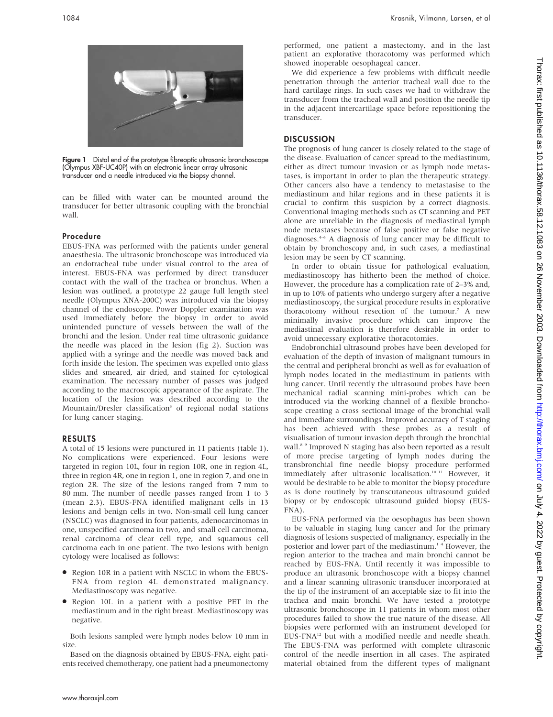

Figure 1 Distal end of the prototype fibreoptic ultrasonic bronchoscope (Olympus XBF-UC40P) with an electronic linear array ultrasonic transducer and a needle introduced via the biopsy channel.

can be filled with water can be mounted around the transducer for better ultrasonic coupling with the bronchial wall.

#### Procedure

EBUS-FNA was performed with the patients under general anaesthesia. The ultrasonic bronchoscope was introduced via an endotracheal tube under visual control to the area of interest. EBUS-FNA was performed by direct transducer contact with the wall of the trachea or bronchus. When a lesion was outlined, a prototype 22 gauge full length steel needle (Olympus XNA-200C) was introduced via the biopsy channel of the endoscope. Power Doppler examination was used immediately before the biopsy in order to avoid unintended puncture of vessels between the wall of the bronchi and the lesion. Under real time ultrasonic guidance the needle was placed in the lesion (fig 2). Suction was applied with a syringe and the needle was moved back and forth inside the lesion. The specimen was expelled onto glass slides and smeared, air dried, and stained for cytological examination. The necessary number of passes was judged according to the macroscopic appearance of the aspirate. The location of the lesion was described according to the Mountain/Dresler classification<sup>3</sup> of regional nodal stations for lung cancer staging.

#### RESULTS

A total of 15 lesions were punctured in 11 patients (table 1). No complications were experienced. Four lesions were targeted in region 10L, four in region 10R, one in region 4L, three in region 4R, one in region 1, one in region 7, and one in region 2R. The size of the lesions ranged from 7 mm to 80 mm. The number of needle passes ranged from 1 to 3 (mean 2.3). EBUS-FNA identified malignant cells in 13 lesions and benign cells in two. Non-small cell lung cancer (NSCLC) was diagnosed in four patients, adenocarcinomas in one, unspecified carcinoma in two, and small cell carcinoma, renal carcinoma of clear cell type, and squamous cell carcinoma each in one patient. The two lesions with benign cytology were localised as follows:

- Region 10R in a patient with NSCLC in whom the EBUS-FNA from region 4L demonstrated malignancy. Mediastinoscopy was negative.
- N Region 10L in a patient with a positive PET in the mediastinum and in the right breast. Mediastinoscopy was negative.

Both lesions sampled were lymph nodes below 10 mm in size.

Based on the diagnosis obtained by EBUS-FNA, eight patients received chemotherapy, one patient had a pneumonectomy performed, one patient a mastectomy, and in the last patient an explorative thoracotomy was performed which showed inoperable oesophageal cancer.

We did experience a few problems with difficult needle penetration through the anterior tracheal wall due to the hard cartilage rings. In such cases we had to withdraw the transducer from the tracheal wall and position the needle tip in the adjacent intercartilage space before repositioning the transducer.

#### **DISCUSSION**

The prognosis of lung cancer is closely related to the stage of the disease. Evaluation of cancer spread to the mediastinum, either as direct tumour invasion or as lymph node metastases, is important in order to plan the therapeutic strategy. Other cancers also have a tendency to metastasise to the mediastinum and hilar regions and in these patients it is crucial to confirm this suspicion by a correct diagnosis. Conventional imaging methods such as CT scanning and PET alone are unreliable in the diagnosis of mediastinal lymph node metastases because of false positive or false negative diagnoses.4–6 A diagnosis of lung cancer may be difficult to obtain by bronchoscopy and, in such cases, a mediastinal lesion may be seen by CT scanning.

In order to obtain tissue for pathological evaluation, mediastinoscopy has hitherto been the method of choice. However, the procedure has a complication rate of 2–3% and, in up to 10% of patients who undergo surgery after a negative mediastinoscopy, the surgical procedure results in explorative thoracotomy without resection of the tumour.7 A new minimally invasive procedure which can improve the mediastinal evaluation is therefore desirable in order to avoid unnecessary explorative thoracotomies.

Endobronchial ultrasound probes have been developed for evaluation of the depth of invasion of malignant tumours in the central and peripheral bronchi as well as for evaluation of lymph nodes located in the mediastinum in patients with lung cancer. Until recently the ultrasound probes have been mechanical radial scanning mini-probes which can be introduced via the working channel of a flexible bronchoscope creating a cross sectional image of the bronchial wall and immediate surroundings. Improved accuracy of T staging has been achieved with these probes as a result of visualisation of tumour invasion depth through the bronchial wall.<sup>8</sup> <sup>9</sup> Improved N staging has also been reported as a result of more precise targeting of lymph nodes during the transbronchial fine needle biopsy procedure performed immediately after ultrasonic localisation.<sup>10 11</sup> However, it would be desirable to be able to monitor the biopsy procedure as is done routinely by transcutaneous ultrasound guided biopsy or by endoscopic ultrasound guided biopsy (EUS-FNA).

EUS-FNA performed via the oesophagus has been shown to be valuable in staging lung cancer and for the primary diagnosis of lesions suspected of malignancy, especially in the posterior and lower part of the mediastinum.<sup>14</sup> However, the region anterior to the trachea and main bronchi cannot be reached by EUS-FNA. Until recently it was impossible to produce an ultrasonic bronchoscope with a biopsy channel and a linear scanning ultrasonic transducer incorporated at the tip of the instrument of an acceptable size to fit into the trachea and main bronchi. We have tested a prototype ultrasonic bronchoscope in 11 patients in whom most other procedures failed to show the true nature of the disease. All biopsies were performed with an instrument developed for EUS-FNA12 but with a modified needle and needle sheath. The EBUS-FNA was performed with complete ultrasonic control of the needle insertion in all cases. The aspirated material obtained from the different types of malignant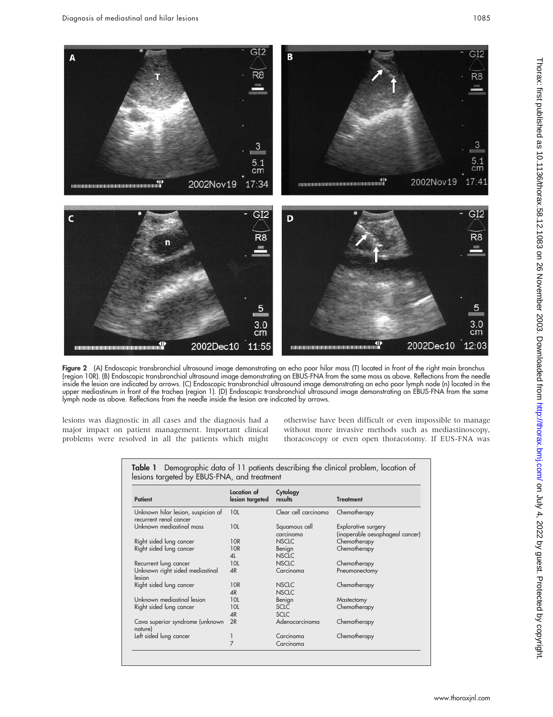

Figure 2 (A) Endoscopic transbronchial ultrasound image demonstrating an echo poor hilar mass (T) located in front of the right main bronchus (region 10R). (B) Endoscopic transbronchial ultrasound image demonstrating an EBUS-FNA from the same mass as above. Reflections from the needle inside the lesion are indicated by arrows. (C) Endoscopic transbronchial ultrasound image demonstrating an echo poor lymph node (n) located in the upper mediastinum in front of the trachea (region 1). (D) Endoscopic transbronchial ultrasound image demonstrating an EBUS-FNA from the same lymph node as above. Reflections from the needle inside the lesion are indicated by arrows.

lesions was diagnostic in all cases and the diagnosis had a major impact on patient management. Important clinical problems were resolved in all the patients which might otherwise have been difficult or even impossible to manage without more invasive methods such as mediastinoscopy, thoracoscopy or even open thoracotomy. If EUS-FNA was

| Patient                                                      | Location of<br>lesion targeted | Cytology<br>results          | <b>Treatment</b>                                       |
|--------------------------------------------------------------|--------------------------------|------------------------------|--------------------------------------------------------|
| Unknown hilar lesion, suspicion of<br>recurrent renal cancer | 10L                            | Clear cell carcinoma         | Chemotherapy                                           |
| Unknown mediastinal mass                                     | 10L                            | Squamous cell<br>carcinoma   | Explorative surgery<br>(inoperable oesophageal cancer) |
| Right sided lung cancer                                      | 10 <sub>R</sub>                | <b>NSCLC</b>                 | Chemotherapy                                           |
| Right sided lung cancer                                      | 10 <sub>R</sub><br>4L          | Benign<br><b>NSCLC</b>       | Chemotherapy                                           |
| Recurrent lung cancer                                        | 10L                            | <b>NSCLC</b>                 | Chemotherapy                                           |
| Unknown right sided mediastinal<br>lesion                    | 4R                             | Carcinoma                    | Pneumonectomy                                          |
| Right sided lung cancer                                      | 10R<br>4R                      | <b>NSCLC</b><br><b>NSCLC</b> | Chemotherapy                                           |
| Unknown mediastinal lesion                                   | 10L                            | Benign                       | Mastectomy                                             |
| Right sided lung cancer                                      | 10L                            | <b>SCLC</b>                  | Chemotherapy                                           |
|                                                              | 4R                             | <b>SCLC</b>                  |                                                        |
| Cava superior syndrome (unknown<br>nature)                   | 2R                             | Adenocarcinoma               | Chemotherapy                                           |
| Left sided lung cancer                                       |                                | Carcinoma                    | Chemotherapy                                           |
|                                                              | 7                              | Carcinoma                    |                                                        |

Table 1 Demographic data of 11 patients describing the clinical problem, location of